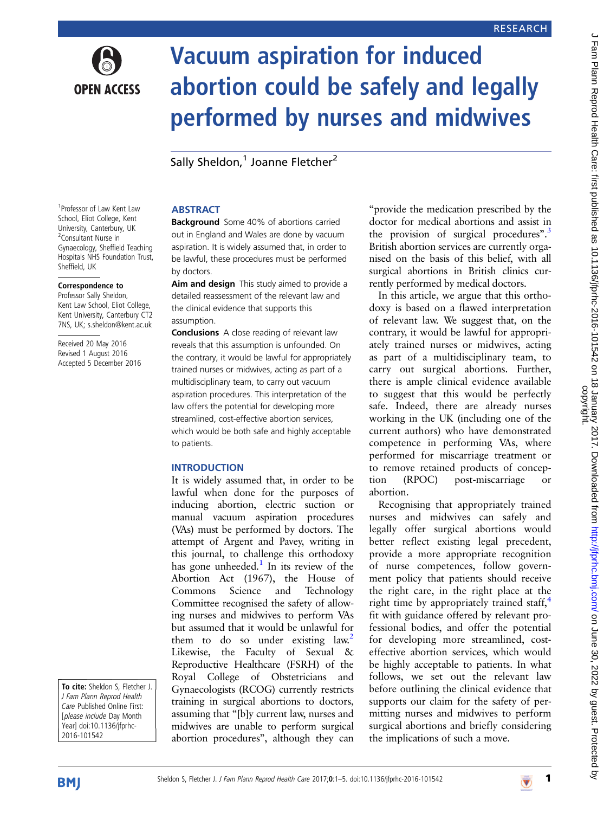

1 Professor of Law Kent Law School, Eliot College, Kent University, Canterbury, UK 2 Consultant Nurse in Gynaecology, Sheffield Teaching Hospitals NHS Foundation Trust,

Sheffield, UK

Correspondence to Professor Sally Sheldon, Kent Law School, Eliot College, Kent University, Canterbury CT2 7NS, UK; s.sheldon@kent.ac.uk

Received 20 May 2016 Revised 1 August 2016 Accepted 5 December 2016

# Vacuum aspiration for induced abortion could be safely and legally performed by nurses and midwives

Sally Sheldon, $1$  Joanne Fletcher<sup>2</sup>

# **ABSTRACT**

**Background** Some 40% of abortions carried out in England and Wales are done by vacuum aspiration. It is widely assumed that, in order to be lawful, these procedures must be performed by doctors.

Aim and design This study aimed to provide a detailed reassessment of the relevant law and the clinical evidence that supports this assumption.

Conclusions A close reading of relevant law reveals that this assumption is unfounded. On the contrary, it would be lawful for appropriately trained nurses or midwives, acting as part of a multidisciplinary team, to carry out vacuum aspiration procedures. This interpretation of the law offers the potential for developing more streamlined, cost-effective abortion services, which would be both safe and highly acceptable to patients.

#### **INTRODUCTION**

It is widely assumed that, in order to be lawful when done for the purposes of inducing abortion, electric suction or manual vacuum aspiration procedures (VAs) must be performed by doctors. The attempt of Argent and Pavey, writing in this journal, to challenge this orthodoxy has gone unheeded.<sup>1</sup> In its review of the Abortion Act (1967), the House of Commons Science and Technology Committee recognised the safety of allowing nurses and midwives to perform VAs but assumed that it would be unlawful for them to do so under existing  $law<sup>2</sup>$ . Likewise, the Faculty of Sexual & Reproductive Healthcare (FSRH) of the Royal College of Obstetricians and Gynaecologists (RCOG) currently restricts training in surgical abortions to doctors, assuming that "[b]y current law, nurses and midwives are unable to perform surgical abortion procedures", although they can

"provide the medication prescribed by the doctor for medical abortions and assist in the provision of surgical procedures".<sup>[3](#page-3-0)</sup> British abortion services are currently organised on the basis of this belief, with all surgical abortions in British clinics currently performed by medical doctors.

In this article, we argue that this orthodoxy is based on a flawed interpretation of relevant law. We suggest that, on the contrary, it would be lawful for appropriately trained nurses or midwives, acting as part of a multidisciplinary team, to carry out surgical abortions. Further, there is ample clinical evidence available to suggest that this would be perfectly safe. Indeed, there are already nurses working in the UK (including one of the current authors) who have demonstrated competence in performing VAs, where performed for miscarriage treatment or to remove retained products of conception (RPOC) post-miscarriage or abortion.

Recognising that appropriately trained nurses and midwives can safely and legally offer surgical abortions would better reflect existing legal precedent, provide a more appropriate recognition of nurse competences, follow government policy that patients should receive the right care, in the right place at the right time by appropriately trained staff, $4$ fit with guidance offered by relevant professional bodies, and offer the potential for developing more streamlined, costeffective abortion services, which would be highly acceptable to patients. In what follows, we set out the relevant law before outlining the clinical evidence that supports our claim for the safety of permitting nurses and midwives to perform surgical abortions and briefly considering the implications of such a move.

**BMJ** 

To cite: Sheldon S, Fletcher J. J Fam Plann Reprod Health Care Published Online First: [please include Day Month Year] doi:10.1136/jfprhc-2016-101542

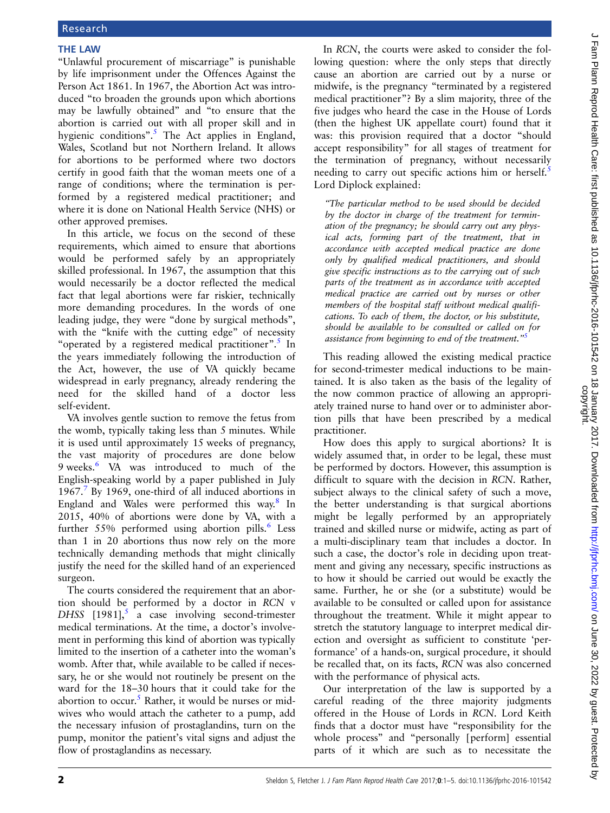#### THE LAW

"Unlawful procurement of miscarriage" is punishable by life imprisonment under the Offences Against the Person Act 1861. In 1967, the Abortion Act was introduced "to broaden the grounds upon which abortions may be lawfully obtained" and "to ensure that the abortion is carried out with all proper skill and in hygienic conditions". The Act applies in England, Wales, Scotland but not Northern Ireland. It allows for abortions to be performed where two doctors certify in good faith that the woman meets one of a range of conditions; where the termination is performed by a registered medical practitioner; and where it is done on National Health Service (NHS) or other approved premises.

In this article, we focus on the second of these requirements, which aimed to ensure that abortions would be performed safely by an appropriately skilled professional. In 1967, the assumption that this would necessarily be a doctor reflected the medical fact that legal abortions were far riskier, technically more demanding procedures. In the words of one leading judge, they were "done by surgical methods", with the "knife with the cutting edge" of necessity "operated by a registered medical practitioner".<sup>[5](#page-4-0)</sup> In the years immediately following the introduction of the Act, however, the use of VA quickly became widespread in early pregnancy, already rendering the need for the skilled hand of a doctor less self-evident.

VA involves gentle suction to remove the fetus from the womb, typically taking less than 5 minutes. While it is used until approximately 15 weeks of pregnancy, the vast majority of procedures are done below 9 weeks.<sup>[6](#page-4-0)</sup> VA was introduced to much of the English-speaking world by a paper published in July  $1967<sup>7</sup>$  $1967<sup>7</sup>$  $1967<sup>7</sup>$  By 1969, one-third of all induced abortions in England and Wales were performed this way. $8 \text{ In}$  $8 \text{ In}$ 2015, 40% of abortions were done by VA, with a further  $55\%$  performed using abortion pills.<sup>[6](#page-4-0)</sup> Less than 1 in 20 abortions thus now rely on the more technically demanding methods that might clinically justify the need for the skilled hand of an experienced surgeon.

The courts considered the requirement that an abortion should be performed by a doctor in RCN v DHSS  $[1981]$ , a case involving second-trimester medical terminations. At the time, a doctor's involvement in performing this kind of abortion was typically limited to the insertion of a catheter into the woman's womb. After that, while available to be called if necessary, he or she would not routinely be present on the ward for the 18–30 hours that it could take for the abortion to occur. $\delta$  Rather, it would be nurses or midwives who would attach the catheter to a pump, add the necessary infusion of prostaglandins, turn on the pump, monitor the patient's vital signs and adjust the flow of prostaglandins as necessary.

In RCN, the courts were asked to consider the following question: where the only steps that directly cause an abortion are carried out by a nurse or midwife, is the pregnancy "terminated by a registered medical practitioner"? By a slim majority, three of the five judges who heard the case in the House of Lords (then the highest UK appellate court) found that it was: this provision required that a doctor "should accept responsibility" for all stages of treatment for the termination of pregnancy, without necessarily needing to carry out specific actions him or herself.<sup>[5](#page-4-0)</sup> Lord Diplock explained:

"The particular method to be used should be decided by the doctor in charge of the treatment for termination of the pregnancy; he should carry out any physical acts, forming part of the treatment, that in accordance with accepted medical practice are done only by qualified medical practitioners, and should give specific instructions as to the carrying out of such parts of the treatment as in accordance with accepted medical practice are carried out by nurses or other members of the hospital staff without medical qualifications. To each of them, the doctor, or his substitute, should be available to be consulted or called on for assistance from beginning to end of the treatment."<sup>[5](#page-4-0)</sup>

This reading allowed the existing medical practice for second-trimester medical inductions to be maintained. It is also taken as the basis of the legality of the now common practice of allowing an appropriately trained nurse to hand over or to administer abortion pills that have been prescribed by a medical practitioner.

How does this apply to surgical abortions? It is widely assumed that, in order to be legal, these must be performed by doctors. However, this assumption is difficult to square with the decision in RCN. Rather, subject always to the clinical safety of such a move, the better understanding is that surgical abortions might be legally performed by an appropriately trained and skilled nurse or midwife, acting as part of a multi-disciplinary team that includes a doctor. In such a case, the doctor's role in deciding upon treatment and giving any necessary, specific instructions as to how it should be carried out would be exactly the same. Further, he or she (or a substitute) would be available to be consulted or called upon for assistance throughout the treatment. While it might appear to stretch the statutory language to interpret medical direction and oversight as sufficient to constitute 'performance' of a hands-on, surgical procedure, it should be recalled that, on its facts, RCN was also concerned with the performance of physical acts.

Our interpretation of the law is supported by a careful reading of the three majority judgments offered in the House of Lords in RCN. Lord Keith finds that a doctor must have "responsibility for the whole process" and "personally [perform] essential parts of it which are such as to necessitate the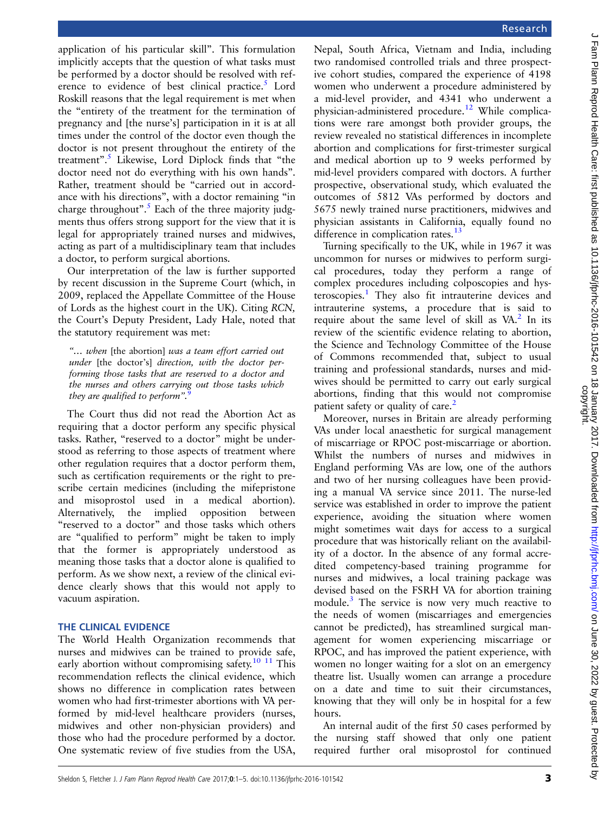application of his particular skill". This formulation implicitly accepts that the question of what tasks must be performed by a doctor should be resolved with reference to evidence of best clinical practice. $5$  Lord Roskill reasons that the legal requirement is met when the "entirety of the treatment for the termination of pregnancy and [the nurse's] participation in it is at all times under the control of the doctor even though the doctor is not present throughout the entirety of the treatment". [5](#page-4-0) Likewise, Lord Diplock finds that "the doctor need not do everything with his own hands". Rather, treatment should be "carried out in accordance with his directions", with a doctor remaining "in charge throughout".<sup>[5](#page-4-0)</sup> Each of the three majority judgments thus offers strong support for the view that it is legal for appropriately trained nurses and midwives, acting as part of a multidisciplinary team that includes a doctor, to perform surgical abortions.

Our interpretation of the law is further supported by recent discussion in the Supreme Court (which, in 2009, replaced the Appellate Committee of the House of Lords as the highest court in the UK). Citing RCN, the Court's Deputy President, Lady Hale, noted that the statutory requirement was met:

"… when [the abortion] was a team effort carried out under [the doctor's] direction, with the doctor performing those tasks that are reserved to a doctor and the nurses and others carrying out those tasks which they are qualified to perform".<sup>[9](#page-4-0)</sup>

The Court thus did not read the Abortion Act as requiring that a doctor perform any specific physical tasks. Rather, "reserved to a doctor" might be understood as referring to those aspects of treatment where other regulation requires that a doctor perform them, such as certification requirements or the right to prescribe certain medicines (including the mifepristone and misoprostol used in a medical abortion). Alternatively, the implied opposition between "reserved to a doctor" and those tasks which others are "qualified to perform" might be taken to imply that the former is appropriately understood as meaning those tasks that a doctor alone is qualified to perform. As we show next, a review of the clinical evidence clearly shows that this would not apply to vacuum aspiration.

### THE CLINICAL EVIDENCE

The World Health Organization recommends that nurses and midwives can be trained to provide safe, early abortion without compromising safety.<sup>[10 11](#page-4-0)</sup> This recommendation reflects the clinical evidence, which shows no difference in complication rates between women who had first-trimester abortions with VA performed by mid-level healthcare providers (nurses, midwives and other non-physician providers) and those who had the procedure performed by a doctor. One systematic review of five studies from the USA,

Nepal, South Africa, Vietnam and India, including two randomised controlled trials and three prospective cohort studies, compared the experience of 4198 women who underwent a procedure administered by a mid-level provider, and 4341 who underwent a physician-administered procedure.[12](#page-4-0) While complications were rare amongst both provider groups, the review revealed no statistical differences in incomplete abortion and complications for first-trimester surgical and medical abortion up to 9 weeks performed by mid-level providers compared with doctors. A further prospective, observational study, which evaluated the outcomes of 5812 VAs performed by doctors and 5675 newly trained nurse practitioners, midwives and physician assistants in California, equally found no difference in complication rates.<sup>[13](#page-4-0)</sup>

Turning specifically to the UK, while in 1967 it was uncommon for nurses or midwives to perform surgical procedures, today they perform a range of complex procedures including colposcopies and hys-teroscopies.<sup>[1](#page-3-0)</sup> They also fit intrauterine devices and intrauterine systems, a procedure that is said to require about the same level of skill as  $VA<sup>2</sup>$ . In its review of the scientific evidence relating to abortion, the Science and Technology Committee of the House of Commons recommended that, subject to usual training and professional standards, nurses and midwives should be permitted to carry out early surgical abortions, finding that this would not compromise patient safety or quality of care.<sup>[2](#page-3-0)</sup>

Moreover, nurses in Britain are already performing VAs under local anaesthetic for surgical management of miscarriage or RPOC post-miscarriage or abortion. Whilst the numbers of nurses and midwives in England performing VAs are low, one of the authors and two of her nursing colleagues have been providing a manual VA service since 2011. The nurse-led service was established in order to improve the patient experience, avoiding the situation where women might sometimes wait days for access to a surgical procedure that was historically reliant on the availability of a doctor. In the absence of any formal accredited competency-based training programme for nurses and midwives, a local training package was devised based on the FSRH VA for abortion training module.<sup>[3](#page-3-0)</sup> The service is now very much reactive to the needs of women (miscarriages and emergencies cannot be predicted), has streamlined surgical management for women experiencing miscarriage or RPOC, and has improved the patient experience, with women no longer waiting for a slot on an emergency theatre list. Usually women can arrange a procedure on a date and time to suit their circumstances, knowing that they will only be in hospital for a few hours.

An internal audit of the first 50 cases performed by the nursing staff showed that only one patient required further oral misoprostol for continued

J Fam Plann Reprod Health Care: first published as 10.1136/jfprhc-2016-1016-1016-10 n 18 January 2017. Downloaded from http://jfprhc.bmj.com/ on June 30, 2022 by guest. Protected by<br>copyright. on June 30, 2022 by guest. Protected by <http://jfprhc.bmj.com/> J Fam Plann Reprod Health Care: first published as 10.1136/jfprhc-2016-101542 on 18 January 2017. Downloaded from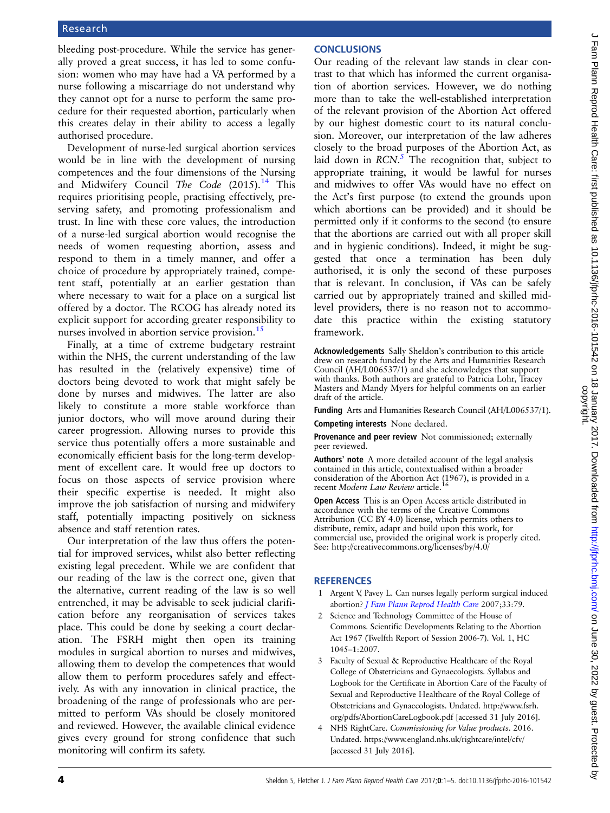<span id="page-3-0"></span>bleeding post-procedure. While the service has generally proved a great success, it has led to some confusion: women who may have had a VA performed by a nurse following a miscarriage do not understand why they cannot opt for a nurse to perform the same procedure for their requested abortion, particularly when this creates delay in their ability to access a legally authorised procedure.

Development of nurse-led surgical abortion services would be in line with the development of nursing competences and the four dimensions of the Nursing and Midwifery Council The Code  $(2015).<sup>14</sup>$  $(2015).<sup>14</sup>$  $(2015).<sup>14</sup>$  This requires prioritising people, practising effectively, preserving safety, and promoting professionalism and trust. In line with these core values, the introduction of a nurse-led surgical abortion would recognise the needs of women requesting abortion, assess and respond to them in a timely manner, and offer a choice of procedure by appropriately trained, competent staff, potentially at an earlier gestation than where necessary to wait for a place on a surgical list offered by a doctor. The RCOG has already noted its explicit support for according greater responsibility to nurses involved in abortion service provision.<sup>[15](#page-4-0)</sup>

Finally, at a time of extreme budgetary restraint within the NHS, the current understanding of the law has resulted in the (relatively expensive) time of doctors being devoted to work that might safely be done by nurses and midwives. The latter are also likely to constitute a more stable workforce than junior doctors, who will move around during their career progression. Allowing nurses to provide this service thus potentially offers a more sustainable and economically efficient basis for the long-term development of excellent care. It would free up doctors to focus on those aspects of service provision where their specific expertise is needed. It might also improve the job satisfaction of nursing and midwifery staff, potentially impacting positively on sickness absence and staff retention rates.

Our interpretation of the law thus offers the potential for improved services, whilst also better reflecting existing legal precedent. While we are confident that our reading of the law is the correct one, given that the alternative, current reading of the law is so well entrenched, it may be advisable to seek judicial clarification before any reorganisation of services takes place. This could be done by seeking a court declaration. The FSRH might then open its training modules in surgical abortion to nurses and midwives, allowing them to develop the competences that would allow them to perform procedures safely and effectively. As with any innovation in clinical practice, the broadening of the range of professionals who are permitted to perform VAs should be closely monitored and reviewed. However, the available clinical evidence gives every ground for strong confidence that such monitoring will confirm its safety.

## **CONCLUSIONS**

Our reading of the relevant law stands in clear contrast to that which has informed the current organisation of abortion services. However, we do nothing more than to take the well-established interpretation of the relevant provision of the Abortion Act offered by our highest domestic court to its natural conclusion. Moreover, our interpretation of the law adheres closely to the broad purposes of the Abortion Act, as laid down in RCN.<sup>[5](#page-4-0)</sup> The recognition that, subject to appropriate training, it would be lawful for nurses and midwives to offer VAs would have no effect on the Act's first purpose (to extend the grounds upon which abortions can be provided) and it should be permitted only if it conforms to the second (to ensure that the abortions are carried out with all proper skill and in hygienic conditions). Indeed, it might be suggested that once a termination has been duly authorised, it is only the second of these purposes that is relevant. In conclusion, if VAs can be safely carried out by appropriately trained and skilled midlevel providers, there is no reason not to accommodate this practice within the existing statutory framework.

Acknowledgements Sally Sheldon's contribution to this article drew on research funded by the Arts and Humanities Research Council (AH/L006537/1) and she acknowledges that support with thanks. Both authors are grateful to Patricia Lohr, Tracey Masters and Mandy Myers for helpful comments on an earlier draft of the article.

Funding Arts and Humanities Research Council (AH/L006537/1).

Competing interests None declared.

Provenance and peer review Not commissioned; externally peer reviewed.

Authors' note A more detailed account of the legal analysis contained in this article, contextualised within a broader consideration of the Abortion Act  $(1967)$ , is provided in a recent Modern Law Review article.

Open Access This is an Open Access article distributed in accordance with the terms of the Creative Commons Attribution (CC BY 4.0) license, which permits others to distribute, remix, adapt and build upon this work, for commercial use, provided the original work is properly cited. See:<http://creativecommons.org/licenses/by/4.0/>

### **REFERENCES**

- 1 Argent V, Pavey L. Can nurses legally perform surgical induced abortion? [J Fam Plann Reprod Health Care](http://dx.doi.org/10.1783/147118907780254231) 2007;33:79.
- 2 Science and Technology Committee of the House of Commons. Scientific Developments Relating to the Abortion Act 1967 (Twelfth Report of Session 2006-7). Vol. 1, HC 1045–1:2007.
- 3 Faculty of Sexual & Reproductive Healthcare of the Royal College of Obstetricians and Gynaecologists. Syllabus and Logbook for the Certificate in Abortion Care of the Faculty of Sexual and Reproductive Healthcare of the Royal College of Obstetricians and Gynaecologists. Undated. [http://www.fsrh.](http://www.fsrh.org/pdfs/AbortionCareLogbook.pdf) [org/pdfs/AbortionCareLogbook.pdf](http://www.fsrh.org/pdfs/AbortionCareLogbook.pdf) [accessed 31 July 2016].
- 4 NHS RightCare. Commissioning for Value products. 2016. Undated.<https://www.england.nhs.uk/rightcare/intel/cfv/> [accessed 31 July 2016].